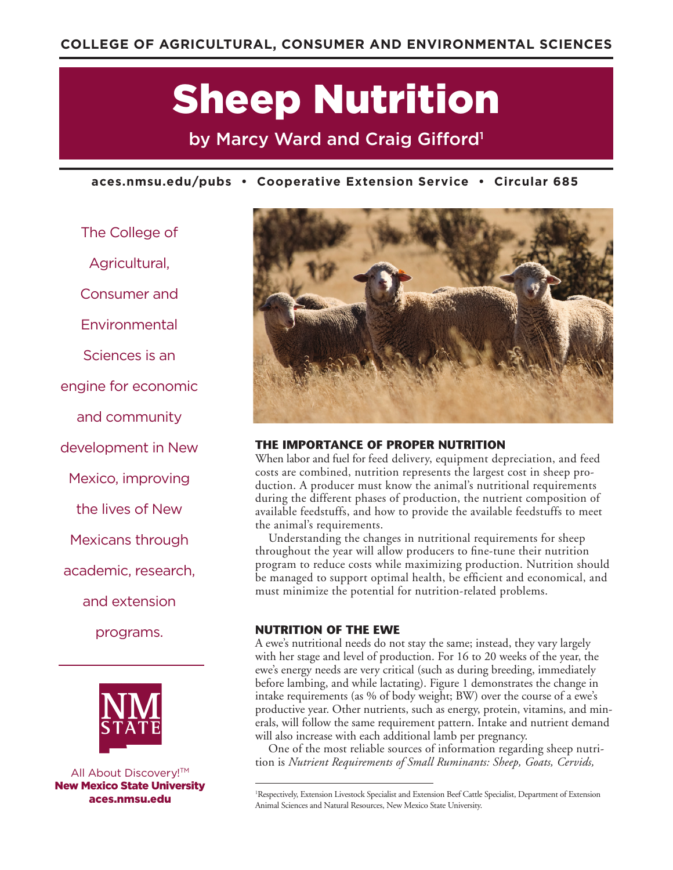# Sheep Nutrition

by Marcy Ward and Craig Gifford<sup>1</sup>

**aces.nmsu.edu/pubs • Cooperative Extension Service • Circular 685**

The College of Agricultural, Consumer and Environmental Sciences is an engine for economic and community development in New Mexico, improving the lives of New Mexicans through academic, research, and extension programs.



All About Discovery!<sup>™</sup> New Mexico State University aces.nmsu.edu



# **THE IMPORTANCE OF PROPER NUTRITION**

When labor and fuel for feed delivery, equipment depreciation, and feed costs are combined, nutrition represents the largest cost in sheep production. A producer must know the animal's nutritional requirements during the different phases of production, the nutrient composition of available feedstuffs, and how to provide the available feedstuffs to meet the animal's requirements.

Understanding the changes in nutritional requirements for sheep throughout the year will allow producers to fine-tune their nutrition program to reduce costs while maximizing production. Nutrition should be managed to support optimal health, be efficient and economical, and must minimize the potential for nutrition-related problems.

# **NUTRITION OF THE EWE**

A ewe's nutritional needs do not stay the same; instead, they vary largely with her stage and level of production. For 16 to 20 weeks of the year, the ewe's energy needs are very critical (such as during breeding, immediately before lambing, and while lactating). Figure 1 demonstrates the change in intake requirements (as % of body weight; BW) over the course of a ewe's productive year. Other nutrients, such as energy, protein, vitamins, and minerals, will follow the same requirement pattern. Intake and nutrient demand will also increase with each additional lamb per pregnancy.

One of the most reliable sources of information regarding sheep nutrition is *Nutrient Requirements of Small Ruminants: Sheep, Goats, Cervids,* 

<sup>1</sup> Respectively, Extension Livestock Specialist and Extension Beef Cattle Specialist, Department of Extension Animal Sciences and Natural Resources, New Mexico State University.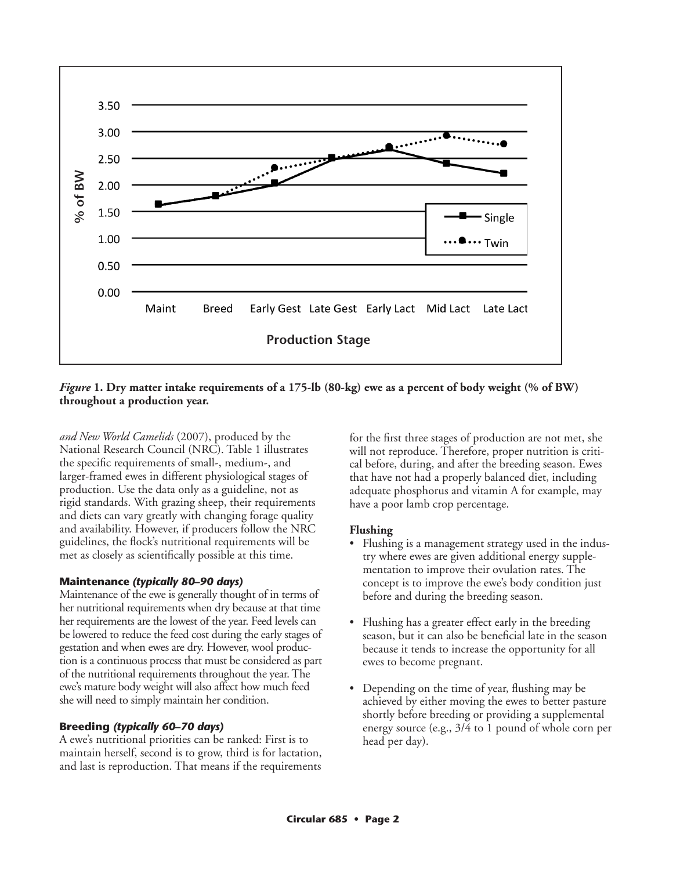

# *Figure* 1. Dry matter intake requirements of a 175-lb (80-kg) ewe as a percent of body weight (% of BW)

*and New World Camelids* (2007), produced by the National Research Council (NRC). Table 1 illustrates the specific requirements of small-, medium-, and larger-framed ewes in different physiological stages of production. Use the data only as a guideline, not as rigid standards. With grazing sheep, their requirements and diets can vary greatly with changing forage quality and availability. However, if producers follow the NRC guidelines, the flock's nutritional requirements will be met as closely as scientifically possible at this time.

# **Maintenance** *(typically 80–90 days)*

Maintenance of the ewe is generally thought of in terms of her nutritional requirements when dry because at that time her requirements are the lowest of the year. Feed levels can be lowered to reduce the feed cost during the early stages of gestation and when ewes are dry. However, wool production is a continuous process that must be considered as part of the nutritional requirements throughout the year. The ewe's mature body weight will also affect how much feed she will need to simply maintain her condition.

#### **Breeding** *(typically 60–70 days)*

A ewe's nutritional priorities can be ranked: First is to maintain herself, second is to grow, third is for lactation, and last is reproduction. That means if the requirements for the first three stages of production are not met, she will not reproduce. Therefore, proper nutrition is critical before, during, and after the breeding season. Ewes that have not had a properly balanced diet, including adequate phosphorus and vitamin A for example, may have a poor lamb crop percentage.

#### **Flushing**

- Flushing is a management strategy used in the industry where ewes are given additional energy supplementation to improve their ovulation rates. The concept is to improve the ewe's body condition just before and during the breeding season.
- Flushing has a greater effect early in the breeding season, but it can also be beneficial late in the season because it tends to increase the opportunity for all ewes to become pregnant.
- Depending on the time of year, flushing may be achieved by either moving the ewes to better pasture shortly before breeding or providing a supplemental energy source (e.g., 3/4 to 1 pound of whole corn per head per day).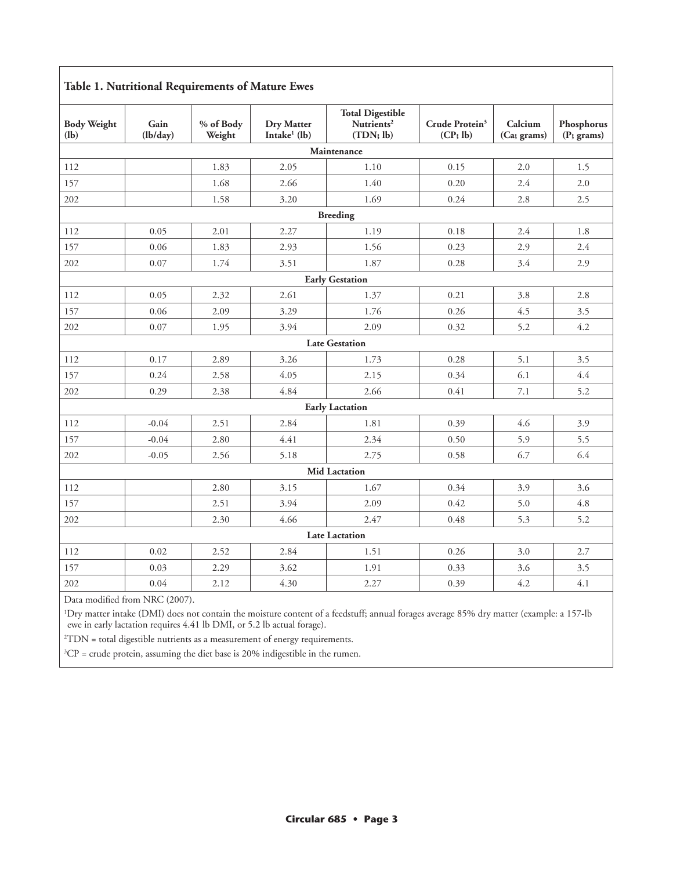# **Table 1. Nutritional Requirements of Mature Ewes**

| <b>Total Digestible</b><br><b>Body Weight</b><br><b>Dry Matter</b><br>Nutrients <sup>2</sup><br>Crude Protein <sup>3</sup><br>Gain<br>% of Body<br>Calcium<br>Phosphorus<br>Intake $1$ (lb)<br>(CP; lb)<br>(l <b>b</b> )<br>(lb/day)<br>Weight<br>(TDN; lb)<br>(Ca; grams)<br>(P; grams)<br>Maintenance<br>1.83<br>2.05<br>1.10<br>0.15<br>2.0<br>1.5<br>112                                                                                                                                                                                                                                                                                                                                                                                               |  |  |  |  |  |  |  |  |
|------------------------------------------------------------------------------------------------------------------------------------------------------------------------------------------------------------------------------------------------------------------------------------------------------------------------------------------------------------------------------------------------------------------------------------------------------------------------------------------------------------------------------------------------------------------------------------------------------------------------------------------------------------------------------------------------------------------------------------------------------------|--|--|--|--|--|--|--|--|
|                                                                                                                                                                                                                                                                                                                                                                                                                                                                                                                                                                                                                                                                                                                                                            |  |  |  |  |  |  |  |  |
|                                                                                                                                                                                                                                                                                                                                                                                                                                                                                                                                                                                                                                                                                                                                                            |  |  |  |  |  |  |  |  |
|                                                                                                                                                                                                                                                                                                                                                                                                                                                                                                                                                                                                                                                                                                                                                            |  |  |  |  |  |  |  |  |
| 157                                                                                                                                                                                                                                                                                                                                                                                                                                                                                                                                                                                                                                                                                                                                                        |  |  |  |  |  |  |  |  |
| 2.5<br>202<br>1.58<br>3.20<br>1.69<br>0.24<br>2.8                                                                                                                                                                                                                                                                                                                                                                                                                                                                                                                                                                                                                                                                                                          |  |  |  |  |  |  |  |  |
| <b>Breeding</b>                                                                                                                                                                                                                                                                                                                                                                                                                                                                                                                                                                                                                                                                                                                                            |  |  |  |  |  |  |  |  |
| 0.05<br>2.01<br>2.27<br>1.19<br>0.18<br>112<br>2.4<br>1.8                                                                                                                                                                                                                                                                                                                                                                                                                                                                                                                                                                                                                                                                                                  |  |  |  |  |  |  |  |  |
| 0.06<br>2.4<br>157<br>1.83<br>2.93<br>1.56<br>0.23<br>2.9                                                                                                                                                                                                                                                                                                                                                                                                                                                                                                                                                                                                                                                                                                  |  |  |  |  |  |  |  |  |
| 202<br>0.07<br>1.74<br>3.51<br>1.87<br>0.28<br>3.4<br>2.9                                                                                                                                                                                                                                                                                                                                                                                                                                                                                                                                                                                                                                                                                                  |  |  |  |  |  |  |  |  |
| 1.68<br>2.66<br>1.40<br>0.20<br>2.4<br>2.0<br><b>Early Gestation</b><br>0.05<br>2.61<br>1.37<br>0.21<br>2.32<br>3.8<br>2.8<br>0.26<br>0.06<br>2.09<br>1.76<br>4.5<br>3.5<br>3.29<br>2.09<br>4.2<br>0.07<br>3.94<br>0.32<br>5.2<br>1.95<br><b>Late Gestation</b><br>0.17<br>2.89<br>3.26<br>1.73<br>0.28<br>5.1<br>3.5<br>0.34<br>6.1<br>4.4<br>0.24<br>4.05<br>2.58<br>2.15<br>4.84<br>2.66<br>0.41<br>5.2<br>0.29<br>2.38<br>7.1<br><b>Early Lactation</b><br>$-0.04$<br>2.51<br>2.84<br>1.81<br>0.39<br>4.6<br>3.9<br>$-0.04$<br>2.80<br>4.41<br>2.34<br>0.50<br>5.9<br>5.5<br>6.4<br>$-0.05$<br>2.56<br>5.18<br>2.75<br>0.58<br>6.7<br><b>Mid Lactation</b><br>2.80<br>3.15<br>1.67<br>0.34<br>3.9<br>3.6<br>3.94<br>2.09<br>0.42<br>5.0<br>4.8<br>2.51 |  |  |  |  |  |  |  |  |
| 112                                                                                                                                                                                                                                                                                                                                                                                                                                                                                                                                                                                                                                                                                                                                                        |  |  |  |  |  |  |  |  |
| 157                                                                                                                                                                                                                                                                                                                                                                                                                                                                                                                                                                                                                                                                                                                                                        |  |  |  |  |  |  |  |  |
| 202                                                                                                                                                                                                                                                                                                                                                                                                                                                                                                                                                                                                                                                                                                                                                        |  |  |  |  |  |  |  |  |
|                                                                                                                                                                                                                                                                                                                                                                                                                                                                                                                                                                                                                                                                                                                                                            |  |  |  |  |  |  |  |  |
| 112                                                                                                                                                                                                                                                                                                                                                                                                                                                                                                                                                                                                                                                                                                                                                        |  |  |  |  |  |  |  |  |
| 157                                                                                                                                                                                                                                                                                                                                                                                                                                                                                                                                                                                                                                                                                                                                                        |  |  |  |  |  |  |  |  |
| 202                                                                                                                                                                                                                                                                                                                                                                                                                                                                                                                                                                                                                                                                                                                                                        |  |  |  |  |  |  |  |  |
|                                                                                                                                                                                                                                                                                                                                                                                                                                                                                                                                                                                                                                                                                                                                                            |  |  |  |  |  |  |  |  |
| 112                                                                                                                                                                                                                                                                                                                                                                                                                                                                                                                                                                                                                                                                                                                                                        |  |  |  |  |  |  |  |  |
| 157                                                                                                                                                                                                                                                                                                                                                                                                                                                                                                                                                                                                                                                                                                                                                        |  |  |  |  |  |  |  |  |
| 202                                                                                                                                                                                                                                                                                                                                                                                                                                                                                                                                                                                                                                                                                                                                                        |  |  |  |  |  |  |  |  |
|                                                                                                                                                                                                                                                                                                                                                                                                                                                                                                                                                                                                                                                                                                                                                            |  |  |  |  |  |  |  |  |
| 112                                                                                                                                                                                                                                                                                                                                                                                                                                                                                                                                                                                                                                                                                                                                                        |  |  |  |  |  |  |  |  |
| 157                                                                                                                                                                                                                                                                                                                                                                                                                                                                                                                                                                                                                                                                                                                                                        |  |  |  |  |  |  |  |  |
| 4.66<br>2.47<br>5.3<br>5.2<br>202<br>2.30<br>0.48                                                                                                                                                                                                                                                                                                                                                                                                                                                                                                                                                                                                                                                                                                          |  |  |  |  |  |  |  |  |
| <b>Late Lactation</b>                                                                                                                                                                                                                                                                                                                                                                                                                                                                                                                                                                                                                                                                                                                                      |  |  |  |  |  |  |  |  |
| 0.02<br>2.52<br>2.84<br>1.51<br>0.26<br>112<br>3.0<br>2.7                                                                                                                                                                                                                                                                                                                                                                                                                                                                                                                                                                                                                                                                                                  |  |  |  |  |  |  |  |  |
| 157<br>0.03<br>2.29<br>3.62<br>1.91<br>0.33<br>3.6<br>3.5                                                                                                                                                                                                                                                                                                                                                                                                                                                                                                                                                                                                                                                                                                  |  |  |  |  |  |  |  |  |
| 4.2<br>4.1<br>0.04<br>4.30<br>202<br>2.12<br>2.27<br>0.39                                                                                                                                                                                                                                                                                                                                                                                                                                                                                                                                                                                                                                                                                                  |  |  |  |  |  |  |  |  |

Data modified from NRC (2007).

1 Dry matter intake (DMI) does not contain the moisture content of a feedstuff; annual forages average 85% dry matter (example: a 157-lb ewe in early lactation requires 4.41 lb DMI, or 5.2 lb actual forage).

2 TDN = total digestible nutrients as a measurement of energy requirements.

 ${}^{3}CP$  = crude protein, assuming the diet base is 20% indigestible in the rumen.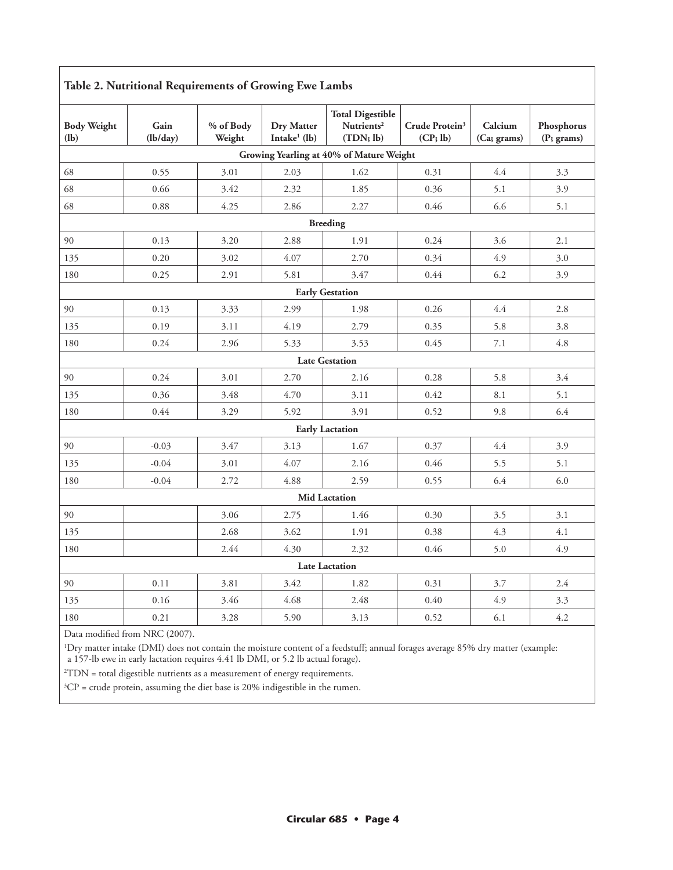| Table 2. Nutritional Requirements of Growing Ewe Lambs |                  |                     |                                      |                                                                |                                        |                        |                          |  |
|--------------------------------------------------------|------------------|---------------------|--------------------------------------|----------------------------------------------------------------|----------------------------------------|------------------------|--------------------------|--|
| <b>Body Weight</b><br>(lb)                             | Gain<br>(lb/day) | % of Body<br>Weight | <b>Dry Matter</b><br>Intake $1$ (lb) | <b>Total Digestible</b><br>Nutrients <sup>2</sup><br>(TDN; lb) | Crude Protein <sup>3</sup><br>(CP; lb) | Calcium<br>(Ca; grams) | Phosphorus<br>(P; grams) |  |
|                                                        |                  |                     |                                      | Growing Yearling at 40% of Mature Weight                       |                                        |                        |                          |  |
| 68                                                     | 0.55             | 3.01                | 2.03                                 | 1.62                                                           | 0.31                                   | 4.4                    | 3.3                      |  |
| 68                                                     | 0.66             | 3.42                | 2.32                                 | 1.85                                                           | 0.36                                   | 5.1                    | 3.9                      |  |
| 68                                                     | 0.88             | 4.25                | 2.86                                 | 2.27                                                           | 0.46                                   | 6.6                    | 5.1                      |  |
|                                                        |                  |                     |                                      | <b>Breeding</b>                                                |                                        |                        |                          |  |
| 90                                                     | 0.13             | 3.20                | 2.88                                 | 1.91                                                           | 0.24                                   | 3.6                    | 2.1                      |  |
| 135                                                    | 0.20             | 3.02                | 4.07                                 | 2.70                                                           | 0.34                                   | 4.9                    | 3.0                      |  |
| 180                                                    | 0.25             | 2.91                | 5.81                                 | 3.47                                                           | 0.44                                   | 6.2                    | 3.9                      |  |
|                                                        |                  |                     |                                      | <b>Early Gestation</b>                                         |                                        |                        |                          |  |
| 90                                                     | 0.13             | 3.33                | 2.99                                 | 1.98                                                           | 0.26                                   | 4.4                    | 2.8                      |  |
| 135                                                    | 0.19             | 3.11                | 4.19                                 | 2.79                                                           | 0.35                                   | 5.8                    | 3.8                      |  |
| 180                                                    | 0.24             | 2.96                | 5.33                                 | 3.53                                                           | 0.45                                   | 7.1                    | 4.8                      |  |
|                                                        |                  |                     |                                      | <b>Late Gestation</b>                                          |                                        |                        |                          |  |
| 90                                                     | 0.24             | 3.01                | 2.70                                 | 2.16                                                           | 0.28                                   | 5.8                    | 3.4                      |  |
| 135                                                    | 0.36             | 3.48                | 4.70                                 | 3.11                                                           | 0.42                                   | 8.1                    | 5.1                      |  |
| 180                                                    | 0.44             | 3.29                | 5.92                                 | 3.91                                                           | 0.52                                   | 9.8                    | 6.4                      |  |
|                                                        |                  |                     |                                      | <b>Early Lactation</b>                                         |                                        |                        |                          |  |
| 90                                                     | $-0.03$          | 3.47                | 3.13                                 | 1.67                                                           | 0.37                                   | 4.4                    | 3.9                      |  |
| 135                                                    | $-0.04$          | 3.01                | 4.07                                 | 2.16                                                           | 0.46                                   | 5.5                    | 5.1                      |  |
| 180                                                    | $-0.04$          | 2.72                | 4.88                                 | 2.59                                                           | 0.55                                   | 6.4                    | 6.0                      |  |
|                                                        |                  |                     |                                      | <b>Mid Lactation</b>                                           |                                        |                        |                          |  |
| 90                                                     |                  | 3.06                | 2.75                                 | 1.46                                                           | 0.30                                   | 3.5                    | 3.1                      |  |
| 135                                                    |                  | 2.68                | 3.62                                 | 1.91                                                           | 0.38                                   | 4.3                    | 4.1                      |  |
| 180                                                    |                  | 2.44                | 4.30                                 | 2.32                                                           | 0.46                                   | 5.0                    | 4.9                      |  |
|                                                        |                  |                     |                                      | <b>Late Lactation</b>                                          |                                        |                        |                          |  |
| 90                                                     | 0.11             | 3.81                | 3.42                                 | 1.82                                                           | 0.31                                   | 3.7                    | 2.4                      |  |
| 135                                                    | 0.16             | 3.46                | 4.68                                 | 2.48                                                           | 0.40                                   | 4.9                    | 3.3                      |  |
| 180                                                    | 0.21             | 3.28                | 5.90                                 | 3.13                                                           | 0.52                                   | 6.1                    | 4.2                      |  |

#### **Table 2. Nutritional Requirements of Growing Ewe Lambs**

Data modified from NRC (2007).

1 Dry matter intake (DMI) does not contain the moisture content of a feedstuff; annual forages average 85% dry matter (example: a 157-lb ewe in early lactation requires 4.41 lb DMI, or 5.2 lb actual forage).

2 TDN = total digestible nutrients as a measurement of energy requirements.

 ${}^{3}CP$  = crude protein, assuming the diet base is 20% indigestible in the rumen.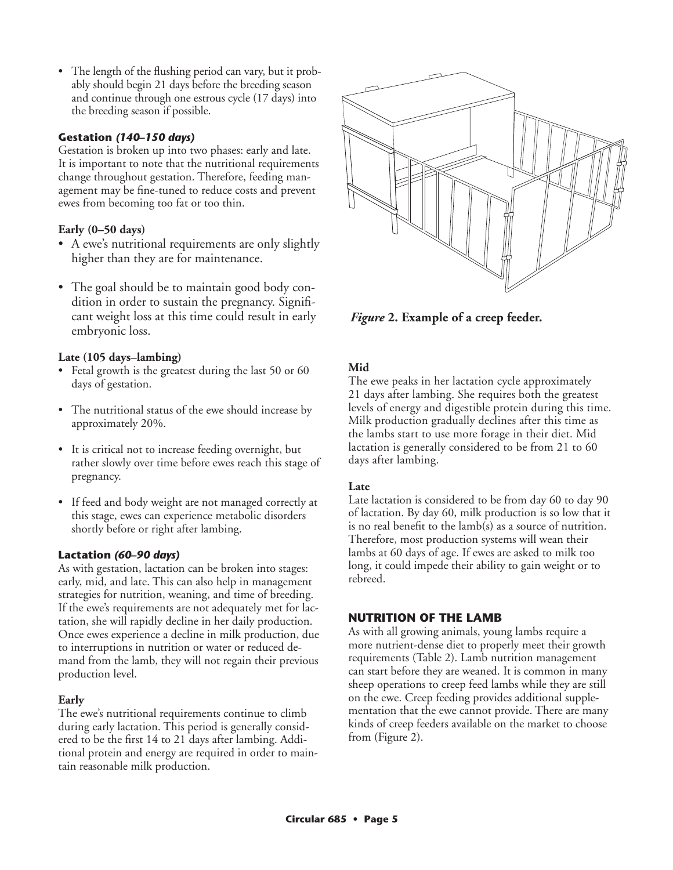• The length of the flushing period can vary, but it probably should begin 21 days before the breeding season and continue through one estrous cycle (17 days) into the breeding season if possible.

# **Gestation** *(140–150 days)*

Gestation is broken up into two phases: early and late. It is important to note that the nutritional requirements change throughout gestation. Therefore, feeding management may be fine-tuned to reduce costs and prevent ewes from becoming too fat or too thin.

# **Early (0–50 days)**

- A ewe's nutritional requirements are only slightly higher than they are for maintenance.
- The goal should be to maintain good body condition in order to sustain the pregnancy. Significant weight loss at this time could result in early embryonic loss.

# **Late (105 days–lambing)**

- Fetal growth is the greatest during the last 50 or 60 days of gestation.
- The nutritional status of the ewe should increase by approximately 20%.
- It is critical not to increase feeding overnight, but rather slowly over time before ewes reach this stage of pregnancy.
- If feed and body weight are not managed correctly at this stage, ewes can experience metabolic disorders shortly before or right after lambing.

# **Lactation** *(60–90 days)*

As with gestation, lactation can be broken into stages: early, mid, and late. This can also help in management strategies for nutrition, weaning, and time of breeding. If the ewe's requirements are not adequately met for lactation, she will rapidly decline in her daily production. Once ewes experience a decline in milk production, due to interruptions in nutrition or water or reduced demand from the lamb, they will not regain their previous production level.

# **Early**

The ewe's nutritional requirements continue to climb during early lactation. This period is generally considered to be the first 14 to 21 days after lambing. Additional protein and energy are required in order to maintain reasonable milk production.



*Figure* **2. Example of a creep feeder.**

# **Mid**

The ewe peaks in her lactation cycle approximately 21 days after lambing. She requires both the greatest levels of energy and digestible protein during this time. Milk production gradually declines after this time as the lambs start to use more forage in their diet. Mid lactation is generally considered to be from 21 to 60 days after lambing.

# **Late**

Late lactation is considered to be from day 60 to day 90 of lactation. By day 60, milk production is so low that it is no real benefit to the lamb(s) as a source of nutrition. Therefore, most production systems will wean their lambs at 60 days of age. If ewes are asked to milk too long, it could impede their ability to gain weight or to rebreed.

# **NUTRITION OF THE LAMB**

As with all growing animals, young lambs require a more nutrient-dense diet to properly meet their growth requirements (Table 2). Lamb nutrition management can start before they are weaned. It is common in many sheep operations to creep feed lambs while they are still on the ewe. Creep feeding provides additional supplementation that the ewe cannot provide. There are many kinds of creep feeders available on the market to choose from (Figure 2).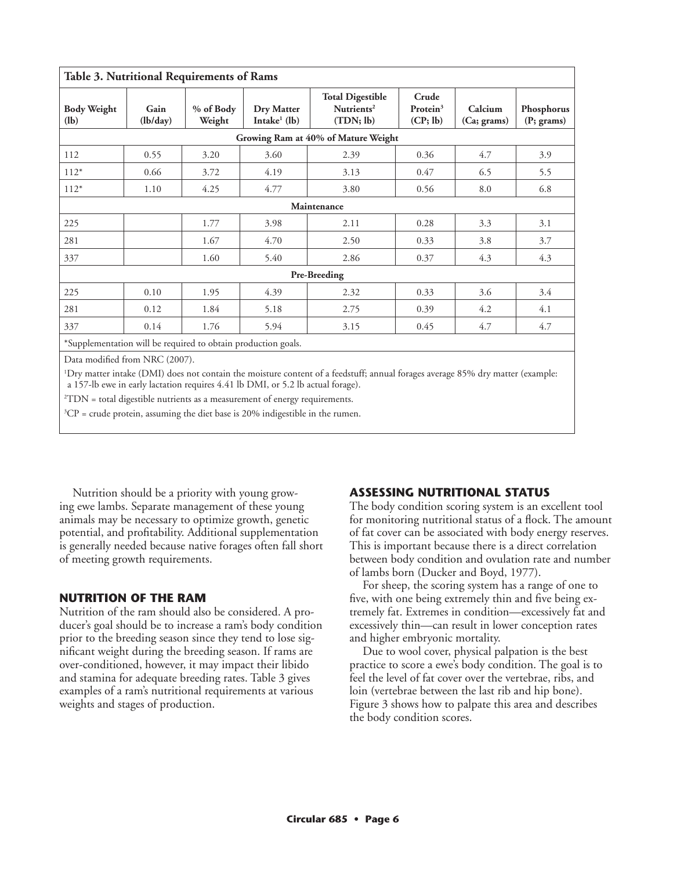| Table 3. Nutritional Requirements of Rams                     |                  |                     |                                      |                                                                |                                  |                        |                          |
|---------------------------------------------------------------|------------------|---------------------|--------------------------------------|----------------------------------------------------------------|----------------------------------|------------------------|--------------------------|
| <b>Body Weight</b><br>(l <b>b</b> )                           | Gain<br>(lb/day) | % of Body<br>Weight | <b>Dry Matter</b><br>Intake $1$ (lb) | <b>Total Digestible</b><br>Nutrients <sup>2</sup><br>(TDN; lb) | Crude<br>Protein $3$<br>(CP; lb) | Calcium<br>(Ca; grams) | Phosphorus<br>(P; grams) |
| Growing Ram at 40% of Mature Weight                           |                  |                     |                                      |                                                                |                                  |                        |                          |
| 112                                                           | 0.55             | 3.20                | 3.60                                 | 2.39                                                           | 0.36                             | 4.7                    | 3.9                      |
| $112*$                                                        | 0.66             | 3.72                | 4.19                                 | 3.13                                                           | 0.47                             | 6.5                    | 5.5                      |
| $112*$                                                        | 1.10             | 4.25                | 4.77                                 | 3.80                                                           | 0.56                             | 8.0                    | 6.8                      |
| Maintenance                                                   |                  |                     |                                      |                                                                |                                  |                        |                          |
| 225                                                           |                  | 1.77                | 3.98                                 | 2.11                                                           | 0.28                             | 3.3                    | 3.1                      |
| 281                                                           |                  | 1.67                | 4.70                                 | 2.50                                                           | 0.33                             | 3.8                    | 3.7                      |
| 337                                                           |                  | 1.60                | 5.40                                 | 2.86                                                           | 0.37                             | 4.3                    | 4.3                      |
| Pre-Breeding                                                  |                  |                     |                                      |                                                                |                                  |                        |                          |
| 225                                                           | 0.10             | 1.95                | 4.39                                 | 2.32                                                           | 0.33                             | 3.6                    | 3.4                      |
| 281                                                           | 0.12             | 1.84                | 5.18                                 | 2.75                                                           | 0.39                             | 4.2                    | 4.1                      |
| 337                                                           | 0.14             | 1.76                | 5.94                                 | 3.15                                                           | 0.45                             | 4.7                    | 4.7                      |
| *Supplementation will be required to obtain production goals. |                  |                     |                                      |                                                                |                                  |                        |                          |

Data modified from NRC (2007).

1 Dry matter intake (DMI) does not contain the moisture content of a feedstuff; annual forages average 85% dry matter (example: a 157-lb ewe in early lactation requires 4.41 lb DMI, or 5.2 lb actual forage).

2 TDN = total digestible nutrients as a measurement of energy requirements.

 ${}^{3}CP$  = crude protein, assuming the diet base is 20% indigestible in the rumen.

Nutrition should be a priority with young growing ewe lambs. Separate management of these young animals may be necessary to optimize growth, genetic potential, and profitability. Additional supplementation is generally needed because native forages often fall short of meeting growth requirements.

# **NUTRITION OF THE RAM**

Nutrition of the ram should also be considered. A producer's goal should be to increase a ram's body condition prior to the breeding season since they tend to lose significant weight during the breeding season. If rams are over-conditioned, however, it may impact their libido and stamina for adequate breeding rates. Table 3 gives examples of a ram's nutritional requirements at various weights and stages of production.

# **ASSESSING NUTRITIONAL STATUS**

The body condition scoring system is an excellent tool for monitoring nutritional status of a flock. The amount of fat cover can be associated with body energy reserves. This is important because there is a direct correlation between body condition and ovulation rate and number of lambs born (Ducker and Boyd, 1977).

For sheep, the scoring system has a range of one to five, with one being extremely thin and five being extremely fat. Extremes in condition—excessively fat and excessively thin—can result in lower conception rates and higher embryonic mortality.

Due to wool cover, physical palpation is the best practice to score a ewe's body condition. The goal is to feel the level of fat cover over the vertebrae, ribs, and loin (vertebrae between the last rib and hip bone). Figure 3 shows how to palpate this area and describes the body condition scores.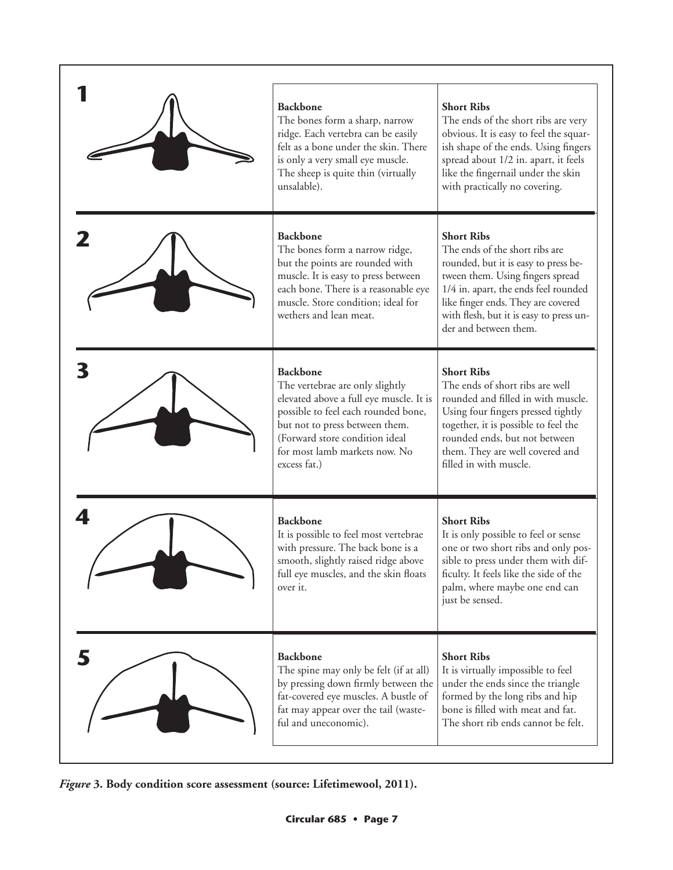| <b>Backbone</b><br>The bones form a sharp, narrow<br>ridge. Each vertebra can be easily<br>felt as a bone under the skin. There<br>is only a very small eye muscle.<br>The sheep is quite thin (virtually<br>unsalable).                                  | <b>Short Ribs</b><br>The ends of the short ribs are very<br>obvious. It is easy to feel the squar-<br>ish shape of the ends. Using fingers<br>spread about 1/2 in. apart, it feels<br>like the fingernail under the skin<br>with practically no covering.                         |
|-----------------------------------------------------------------------------------------------------------------------------------------------------------------------------------------------------------------------------------------------------------|-----------------------------------------------------------------------------------------------------------------------------------------------------------------------------------------------------------------------------------------------------------------------------------|
| <b>Backbone</b><br>The bones form a narrow ridge,<br>but the points are rounded with<br>muscle. It is easy to press between<br>each bone. There is a reasonable eye<br>muscle. Store condition; ideal for<br>wethers and lean meat.                       | <b>Short Ribs</b><br>The ends of the short ribs are<br>rounded, but it is easy to press be-<br>tween them. Using fingers spread<br>1/4 in. apart, the ends feel rounded<br>like finger ends. They are covered<br>with flesh, but it is easy to press un-<br>der and between them. |
| <b>Backbone</b><br>The vertebrae are only slightly<br>elevated above a full eye muscle. It is<br>possible to feel each rounded bone,<br>but not to press between them.<br>(Forward store condition ideal<br>for most lamb markets now. No<br>excess fat.) | <b>Short Ribs</b><br>The ends of short ribs are well<br>rounded and filled in with muscle.<br>Using four fingers pressed tightly<br>together, it is possible to feel the<br>rounded ends, but not between<br>them. They are well covered and<br>filled in with muscle.            |
| <b>Backbone</b><br>It is possible to feel most vertebrae<br>with pressure. The back bone is a<br>smooth, slightly raised ridge above<br>full eye muscles, and the skin floats<br>over it.                                                                 | <b>Short Ribs</b><br>It is only possible to feel or sense<br>one or two short ribs and only pos-<br>sible to press under them with dif-<br>ficulty. It feels like the side of the<br>palm, where maybe one end can<br>just be sensed.                                             |
| <b>Backbone</b><br>The spine may only be felt (if at all)<br>by pressing down firmly between the<br>fat-covered eye muscles. A bustle of<br>fat may appear over the tail (waste-<br>ful and uneconomic).                                                  | <b>Short Ribs</b><br>It is virtually impossible to feel<br>under the ends since the triangle<br>formed by the long ribs and hip<br>bone is filled with meat and fat.<br>The short rib ends cannot be felt.                                                                        |

*Figure* **3. Body condition score assessment (source: Lifetimewool, 2011).**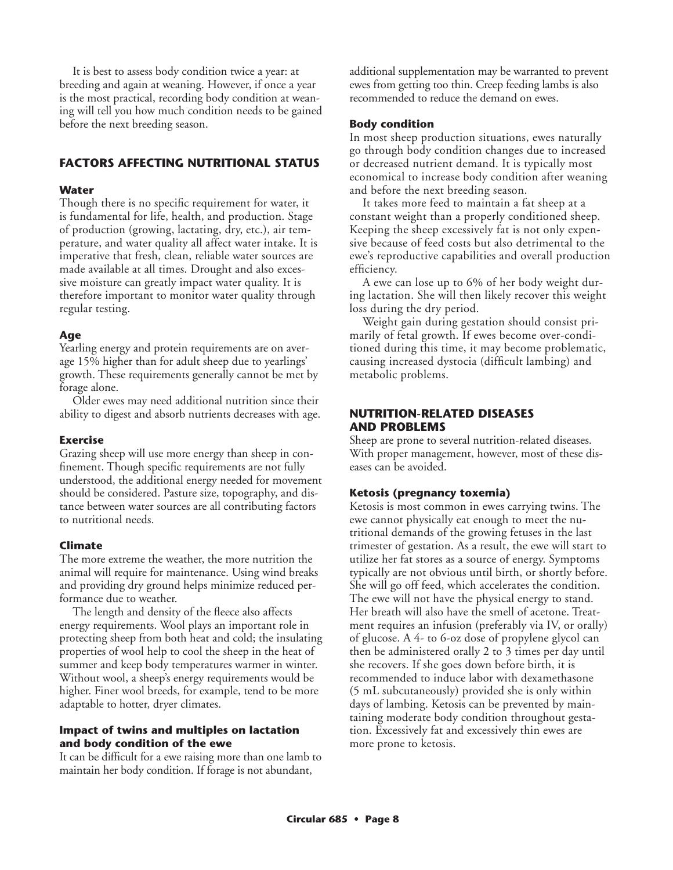It is best to assess body condition twice a year: at breeding and again at weaning. However, if once a year is the most practical, recording body condition at weaning will tell you how much condition needs to be gained before the next breeding season.

# **FACTORS AFFECTING NUTRITIONAL STATUS**

#### **Water**

Though there is no specific requirement for water, it is fundamental for life, health, and production. Stage of production (growing, lactating, dry, etc.), air temperature, and water quality all affect water intake. It is imperative that fresh, clean, reliable water sources are made available at all times. Drought and also excessive moisture can greatly impact water quality. It is therefore important to monitor water quality through regular testing.

# **Age**

Yearling energy and protein requirements are on average 15% higher than for adult sheep due to yearlings' growth. These requirements generally cannot be met by forage alone.

Older ewes may need additional nutrition since their ability to digest and absorb nutrients decreases with age.

#### **Exercise**

Grazing sheep will use more energy than sheep in confinement. Though specific requirements are not fully understood, the additional energy needed for movement should be considered. Pasture size, topography, and distance between water sources are all contributing factors to nutritional needs.

# **Climate**

The more extreme the weather, the more nutrition the animal will require for maintenance. Using wind breaks and providing dry ground helps minimize reduced performance due to weather.

The length and density of the fleece also affects energy requirements. Wool plays an important role in protecting sheep from both heat and cold; the insulating properties of wool help to cool the sheep in the heat of summer and keep body temperatures warmer in winter. Without wool, a sheep's energy requirements would be higher. Finer wool breeds, for example, tend to be more adaptable to hotter, dryer climates.

#### **Impact of twins and multiples on lactation and body condition of the ewe**

It can be difficult for a ewe raising more than one lamb to maintain her body condition. If forage is not abundant,

additional supplementation may be warranted to prevent ewes from getting too thin. Creep feeding lambs is also recommended to reduce the demand on ewes.

#### **Body condition**

In most sheep production situations, ewes naturally go through body condition changes due to increased or decreased nutrient demand. It is typically most economical to increase body condition after weaning and before the next breeding season.

It takes more feed to maintain a fat sheep at a constant weight than a properly conditioned sheep. Keeping the sheep excessively fat is not only expensive because of feed costs but also detrimental to the ewe's reproductive capabilities and overall production efficiency.

A ewe can lose up to 6% of her body weight during lactation. She will then likely recover this weight loss during the dry period.

Weight gain during gestation should consist primarily of fetal growth. If ewes become over-conditioned during this time, it may become problematic, causing increased dystocia (difficult lambing) and metabolic problems.

### **NUTRITION-RELATED DISEASES AND PROBLEMS**

Sheep are prone to several nutrition-related diseases. With proper management, however, most of these diseases can be avoided.

#### **Ketosis (pregnancy toxemia)**

Ketosis is most common in ewes carrying twins. The ewe cannot physically eat enough to meet the nutritional demands of the growing fetuses in the last trimester of gestation. As a result, the ewe will start to utilize her fat stores as a source of energy. Symptoms typically are not obvious until birth, or shortly before. She will go off feed, which accelerates the condition. The ewe will not have the physical energy to stand. Her breath will also have the smell of acetone. Treatment requires an infusion (preferably via IV, or orally) of glucose. A 4- to 6-oz dose of propylene glycol can then be administered orally 2 to 3 times per day until she recovers. If she goes down before birth, it is recommended to induce labor with dexamethasone (5 mL subcutaneously) provided she is only within days of lambing. Ketosis can be prevented by maintaining moderate body condition throughout gestation. Excessively fat and excessively thin ewes are more prone to ketosis.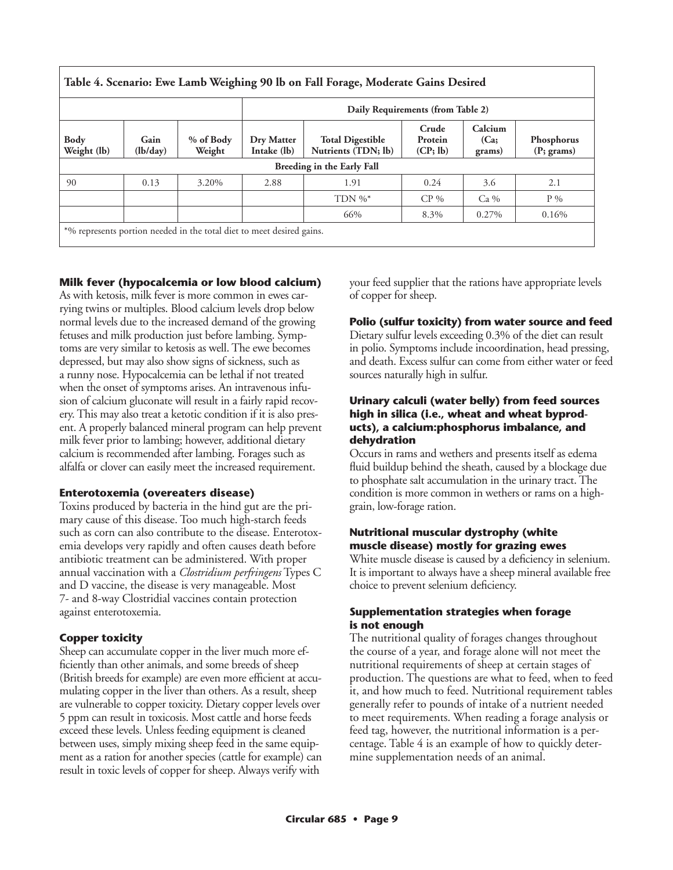| Table 4. Scenario: Ewe Lamb Weighing 90 lb on Fall Forage, Moderate Gains Desired |                                   |                     |                           |                                                |                              |                           |                                      |
|-----------------------------------------------------------------------------------|-----------------------------------|---------------------|---------------------------|------------------------------------------------|------------------------------|---------------------------|--------------------------------------|
|                                                                                   | Daily Requirements (from Table 2) |                     |                           |                                                |                              |                           |                                      |
| <b>Body</b><br>Weight (lb)                                                        | Gain<br>(lb/day)                  | % of Body<br>Weight | Dry Matter<br>Intake (lb) | <b>Total Digestible</b><br>Nutrients (TDN; lb) | Crude<br>Protein<br>(CP; lb) | Calcium<br>(Ca)<br>grams) | Phosphorus<br>$(P; \, \text{grams})$ |
| Breeding in the Early Fall                                                        |                                   |                     |                           |                                                |                              |                           |                                      |
| 90                                                                                | 0.13                              | 3.20%               | 2.88                      | 1.91                                           | 0.24                         | 3.6                       | 2.1                                  |
|                                                                                   |                                   |                     |                           | TDN $\%^*$                                     | $CP\%$                       | $Ca\%$                    | $P\%$                                |
|                                                                                   |                                   |                     |                           | 66%                                            | 8.3%                         | 0.27%                     | 0.16%                                |
| *% represents portion needed in the total diet to meet desired gains.             |                                   |                     |                           |                                                |                              |                           |                                      |

# **Milk fever (hypocalcemia or low blood calcium)**

As with ketosis, milk fever is more common in ewes carrying twins or multiples. Blood calcium levels drop below normal levels due to the increased demand of the growing fetuses and milk production just before lambing. Symptoms are very similar to ketosis as well. The ewe becomes depressed, but may also show signs of sickness, such as a runny nose. Hypocalcemia can be lethal if not treated when the onset of symptoms arises. An intravenous infusion of calcium gluconate will result in a fairly rapid recovery. This may also treat a ketotic condition if it is also present. A properly balanced mineral program can help prevent milk fever prior to lambing; however, additional dietary calcium is recommended after lambing. Forages such as alfalfa or clover can easily meet the increased requirement.

#### **Enterotoxemia (overeaters disease)**

Toxins produced by bacteria in the hind gut are the primary cause of this disease. Too much high-starch feeds such as corn can also contribute to the disease. Enterotoxemia develops very rapidly and often causes death before antibiotic treatment can be administered. With proper annual vaccination with a *Clostridium perfringens* Types C and D vaccine, the disease is very manageable. Most 7- and 8-way Clostridial vaccines contain protection against enterotoxemia.

# **Copper toxicity**

Sheep can accumulate copper in the liver much more efficiently than other animals, and some breeds of sheep (British breeds for example) are even more efficient at accumulating copper in the liver than others. As a result, sheep are vulnerable to copper toxicity. Dietary copper levels over 5 ppm can result in toxicosis. Most cattle and horse feeds exceed these levels. Unless feeding equipment is cleaned between uses, simply mixing sheep feed in the same equipment as a ration for another species (cattle for example) can result in toxic levels of copper for sheep. Always verify with

your feed supplier that the rations have appropriate levels of copper for sheep.

#### **Polio (sulfur toxicity) from water source and feed**

Dietary sulfur levels exceeding 0.3% of the diet can result in polio. Symptoms include incoordination, head pressing, and death. Excess sulfur can come from either water or feed sources naturally high in sulfur.

#### **Urinary calculi (water belly) from feed sources high in silica (i.e., wheat and wheat byproducts), a calcium:phosphorus imbalance, and dehydration**

Occurs in rams and wethers and presents itself as edema fluid buildup behind the sheath, caused by a blockage due to phosphate salt accumulation in the urinary tract. The condition is more common in wethers or rams on a highgrain, low-forage ration.

# **Nutritional muscular dystrophy (white muscle disease) mostly for grazing ewes**

White muscle disease is caused by a deficiency in selenium. It is important to always have a sheep mineral available free choice to prevent selenium deficiency.

# **Supplementation strategies when forage is not enough**

The nutritional quality of forages changes throughout the course of a year, and forage alone will not meet the nutritional requirements of sheep at certain stages of production. The questions are what to feed, when to feed it, and how much to feed. Nutritional requirement tables generally refer to pounds of intake of a nutrient needed to meet requirements. When reading a forage analysis or feed tag, however, the nutritional information is a percentage. Table 4 is an example of how to quickly determine supplementation needs of an animal.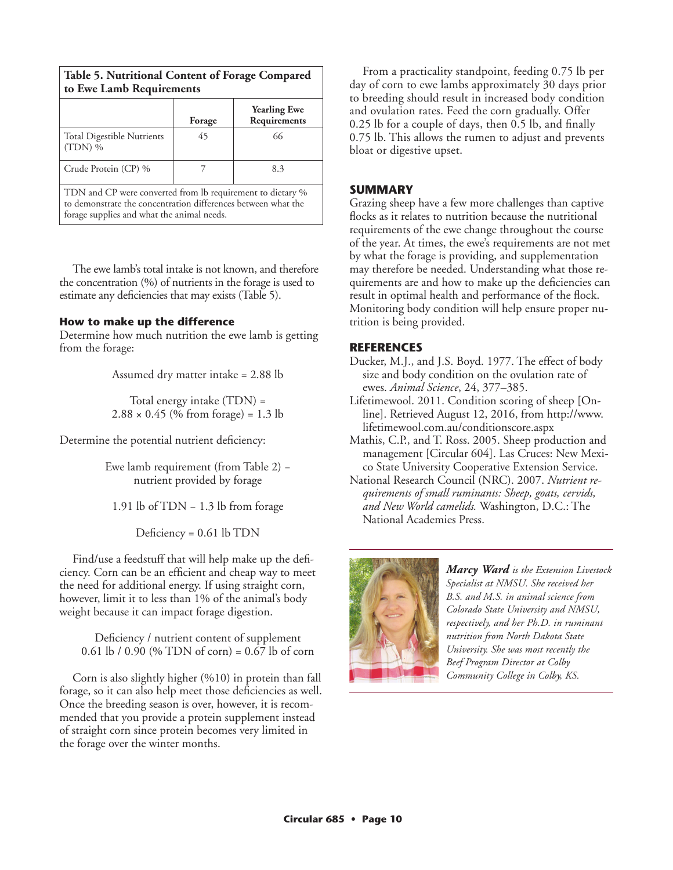| to Ewe Lamb Requirements                                   |        |                                     |  |  |  |  |
|------------------------------------------------------------|--------|-------------------------------------|--|--|--|--|
|                                                            | Forage | <b>Yearling Ewe</b><br>Requirements |  |  |  |  |
| <b>Total Digestible Nutrients</b><br>$(TDN)$ %             | 45     | 66                                  |  |  |  |  |
| Crude Protein (CP) %<br>8.3                                |        |                                     |  |  |  |  |
| TDN and CP were converted from lb requirement to dietary % |        |                                     |  |  |  |  |

**Table 5. Nutritional Content of Forage Compared** 

to demonstrate the concentration differences between what the forage supplies and what the animal needs.

The ewe lamb's total intake is not known, and therefore the concentration (%) of nutrients in the forage is used to estimate any deficiencies that may exists (Table 5).

#### **How to make up the difference**

Determine how much nutrition the ewe lamb is getting from the forage:

Assumed dry matter intake = 2.88 lb

Total energy intake (TDN) =  $2.88 \times 0.45$  (% from forage) = 1.3 lb

Determine the potential nutrient deficiency:

Ewe lamb requirement (from Table 2) − nutrient provided by forage

1.91 lb of TDN − 1.3 lb from forage

Deficiency = 0.61 lb TDN

Find/use a feedstuff that will help make up the deficiency. Corn can be an efficient and cheap way to meet the need for additional energy. If using straight corn, however, limit it to less than 1% of the animal's body weight because it can impact forage digestion.

Deficiency / nutrient content of supplement 0.61 lb / 0.90 (% TDN of corn) = 0.67 lb of corn

Corn is also slightly higher (%10) in protein than fall forage, so it can also help meet those deficiencies as well. Once the breeding season is over, however, it is recommended that you provide a protein supplement instead of straight corn since protein becomes very limited in the forage over the winter months.

From a practicality standpoint, feeding 0.75 lb per day of corn to ewe lambs approximately 30 days prior to breeding should result in increased body condition and ovulation rates. Feed the corn gradually. Offer 0.25 lb for a couple of days, then 0.5 lb, and finally 0.75 lb. This allows the rumen to adjust and prevents bloat or digestive upset.

# **SUMMARY**

Grazing sheep have a few more challenges than captive flocks as it relates to nutrition because the nutritional requirements of the ewe change throughout the course of the year. At times, the ewe's requirements are not met by what the forage is providing, and supplementation may therefore be needed. Understanding what those requirements are and how to make up the deficiencies can result in optimal health and performance of the flock. Monitoring body condition will help ensure proper nutrition is being provided.

# **REFERENCES**

- Ducker, M.J., and J.S. Boyd. 1977. The effect of body size and body condition on the ovulation rate of ewes. *Animal Science*, 24, 377–385.
- Lifetimewool. 2011. Condition scoring of sheep [Online]. Retrieved August 12, 2016, from http://www. lifetimewool.com.au/conditionscore.aspx
- Mathis, C.P., and T. Ross. 2005. Sheep production and management [Circular 604]. Las Cruces: New Mexico State University Cooperative Extension Service.
- National Research Council (NRC). 2007. *Nutrient requirements of small ruminants: Sheep, goats, cervids, and New World camelids.* Washington, D.C.: The National Academies Press.



*Marcy Ward is the Extension Livestock Specialist at NMSU. She received her B.S. and M.S. in animal science from Colorado State University and NMSU, respectively, and her Ph.D. in ruminant nutrition from North Dakota State University. She was most recently the Beef Program Director at Colby Community College in Colby, KS.*